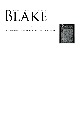# AN ILLUSTRATED QUARTERLY  $\overline{\Gamma}$  $B^1$  $\lceil~\!/$

C O N T E N T S

Blake/An Illustrated Quarterly, Volume 25, Issue 4, Spring 1992, pp. 141-143

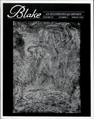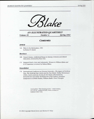



*AN ILLUSTRATED QUARTERLY* 

*Volume 25 Number 4 Spring 1992* 

### *Contents*

#### *Article*

144 Blake in the Marketplace, 1991 by Robert N. Essick

#### *Reviews*

- 168 Hazard Adams, *Antithetical Essays in Literary Criticism and Liberal Education,* reviewed by Peter Otto
- 171 Margaret Storch, *Sons and Adversaries: Women in William Blake and D. H. Lawrence,* reviewed by Nelson Hilton

#### *Newsletter*

*\1A International Conference at Victoria University*—*The Legacy of Northrop Frye, The Northrop Frye Centre and the Frye Medal, Shelley Bicentenary UNISA, North American Society for the Study of Romanticism, Romanticism Associated, Romanticism & Pop Culture, Carolinas Symposium on British Studies, William Blake's Tarot Triumphs* 

> Cover photo: "The Chaining of Ore." Relief etching, 11.1 x 8 cm., printed in black. Photo courtesy of Sotheby's New York.